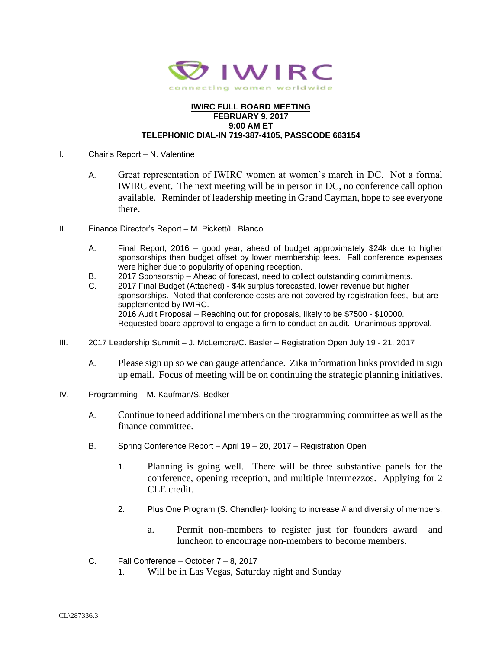

## **IWIRC FULL BOARD MEETING FEBRUARY 9, 2017 9:00 AM ET TELEPHONIC DIAL-IN 719-387-4105, PASSCODE 663154**

- I. Chair's Report N. Valentine
	- A. Great representation of IWIRC women at women's march in DC. Not a formal IWIRC event. The next meeting will be in person in DC, no conference call option available. Reminder of leadership meeting in Grand Cayman, hope to see everyone there.
- II. Finance Director's Report M. Pickett/L. Blanco
	- A. Final Report, 2016 good year, ahead of budget approximately \$24k due to higher sponsorships than budget offset by lower membership fees. Fall conference expenses were higher due to popularity of opening reception.
	- B. 2017 Sponsorship Ahead of forecast, need to collect outstanding commitments.
	- C. 2017 Final Budget (Attached) \$4k surplus forecasted, lower revenue but higher sponsorships. Noted that conference costs are not covered by registration fees, but are supplemented by IWIRC. 2016 Audit Proposal – Reaching out for proposals, likely to be \$7500 - \$10000. Requested board approval to engage a firm to conduct an audit. Unanimous approval.
- III. 2017 Leadership Summit J. McLemore/C. Basler Registration Open July 19 21, 2017
	- A. Please sign up so we can gauge attendance. Zika information links provided in sign up email. Focus of meeting will be on continuing the strategic planning initiatives.
- IV. Programming M. Kaufman/S. Bedker
	- A. Continue to need additional members on the programming committee as well as the finance committee.
	- B. Spring Conference Report April 19 20, 2017 Registration Open
		- 1. Planning is going well. There will be three substantive panels for the conference, opening reception, and multiple intermezzos. Applying for 2 CLE credit.
		- 2. Plus One Program (S. Chandler)- looking to increase # and diversity of members.
			- a. Permit non-members to register just for founders award and luncheon to encourage non-members to become members.
	- C. Fall Conference October 7 8, 2017
		- 1. Will be in Las Vegas, Saturday night and Sunday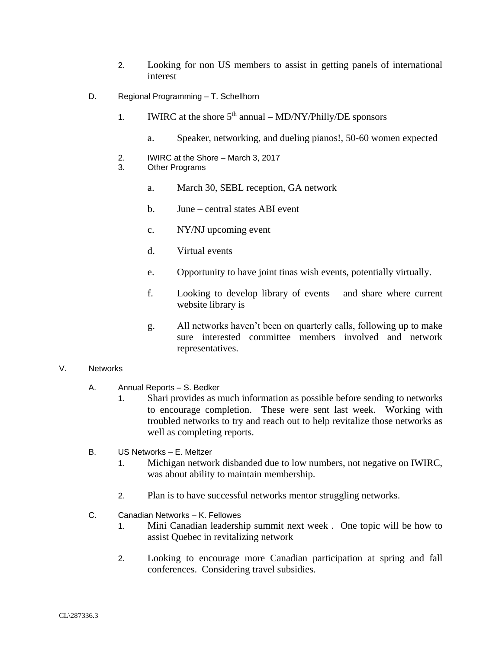- 2. Looking for non US members to assist in getting panels of international interest
- D. Regional Programming T. Schellhorn
	- 1. IWIRC at the shore  $5<sup>th</sup>$  annual MD/NY/Philly/DE sponsors
		- a. Speaker, networking, and dueling pianos!, 50-60 women expected
	- 2. IWIRC at the Shore March 3, 2017
	- 3. Other Programs
		- a. March 30, SEBL reception, GA network
		- b. June central states ABI event
		- c. NY/NJ upcoming event
		- d. Virtual events
		- e. Opportunity to have joint tinas wish events, potentially virtually.
		- f. Looking to develop library of events and share where current website library is
		- g. All networks haven't been on quarterly calls, following up to make sure interested committee members involved and network representatives.

## V. Networks

- A. Annual Reports S. Bedker
	- 1. Shari provides as much information as possible before sending to networks to encourage completion. These were sent last week. Working with troubled networks to try and reach out to help revitalize those networks as well as completing reports.
- B. US Networks E. Meltzer
	- 1. Michigan network disbanded due to low numbers, not negative on IWIRC, was about ability to maintain membership.
	- 2. Plan is to have successful networks mentor struggling networks.
- C. Canadian Networks K. Fellowes
	- 1. Mini Canadian leadership summit next week . One topic will be how to assist Quebec in revitalizing network
	- 2. Looking to encourage more Canadian participation at spring and fall conferences. Considering travel subsidies.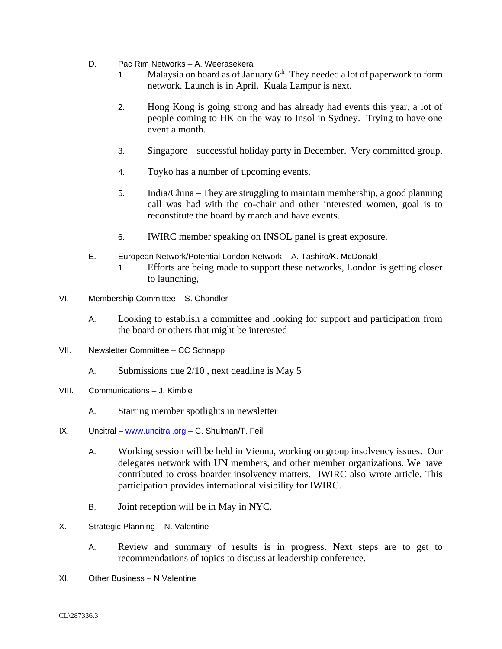- D. Pac Rim Networks A. Weerasekera
	- 1. Malaysia on board as of January  $6<sup>th</sup>$ . They needed a lot of paperwork to form network. Launch is in April. Kuala Lampur is next.
	- 2. Hong Kong is going strong and has already had events this year, a lot of people coming to HK on the way to Insol in Sydney. Trying to have one event a month.
	- 3. Singapore successful holiday party in December. Very committed group.
	- 4. Toyko has a number of upcoming events.
	- 5. India/China They are struggling to maintain membership, a good planning call was had with the co-chair and other interested women, goal is to reconstitute the board by march and have events.
	- 6. IWIRC member speaking on INSOL panel is great exposure.
- E. European Network/Potential London Network A. Tashiro/K. McDonald
	- 1. Efforts are being made to support these networks, London is getting closer to launching,
- VI. Membership Committee S. Chandler
	- A. Looking to establish a committee and looking for support and participation from the board or others that might be interested
- VII. Newsletter Committee CC Schnapp
	- A. Submissions due 2/10 , next deadline is May 5
- VIII. Communications J. Kimble
	- A. Starting member spotlights in newsletter
- $IX.$  Uncitral [www.uncitral.org](http://www.uncitral.org/) C. Shulman/T. Feil
	- A. Working session will be held in Vienna, working on group insolvency issues. Our delegates network with UN members, and other member organizations. We have contributed to cross boarder insolvency matters. IWIRC also wrote article. This participation provides international visibility for IWIRC.
	- B. Joint reception will be in May in NYC.
- X. Strategic Planning N. Valentine
	- A. Review and summary of results is in progress. Next steps are to get to recommendations of topics to discuss at leadership conference.
- XI. Other Business N Valentine